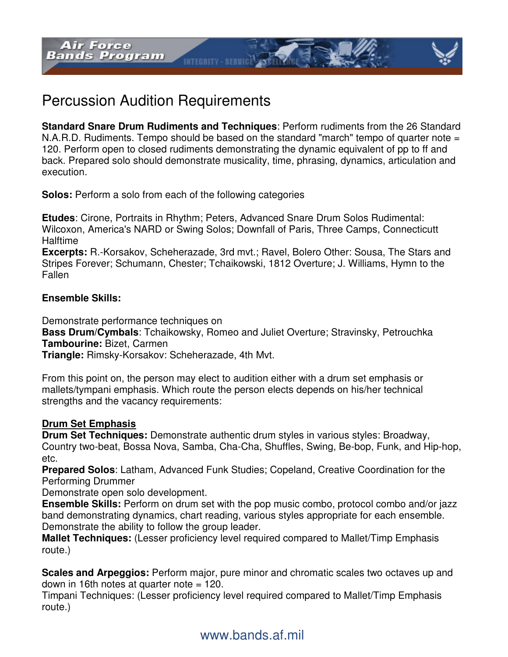

**Standard Snare Drum Rudiments and Techniques**: Perform rudiments from the 26 Standard  $N.A.R.D.$  Rudiments. Tempo should be based on the standard "march" tempo of quarter note  $=$ 120. Perform open to closed rudiments demonstrating the dynamic equivalent of pp to ff and back. Prepared solo should demonstrate musicality, time, phrasing, dynamics, articulation and execution.

**INTEGRITY - SERVICE** 

**Solos:** Perform a solo from each of the following categories

**Etudes**: Cirone, Portraits in Rhythm; Peters, Advanced Snare Drum Solos Rudimental: Wilcoxon, America's NARD or Swing Solos; Downfall of Paris, Three Camps, Connecticutt **Halftime** 

**Excerpts:** R.-Korsakov, Scheherazade, 3rd mvt.; Ravel, Bolero Other: Sousa, The Stars and Stripes Forever; Schumann, Chester; Tchaikowski, 1812 Overture; J. Williams, Hymn to the Fallen

### **Ensemble Skills:**

Demonstrate performance techniques on

**Bass Drum/Cymbals**: Tchaikowsky, Romeo and Juliet Overture; Stravinsky, Petrouchka **Tambourine:** Bizet, Carmen

**Triangle:** Rimsky-Korsakov: Scheherazade, 4th Mvt.

From this point on, the person may elect to audition either with a drum set emphasis or mallets/tympani emphasis. Which route the person elects depends on his/her technical strengths and the vacancy requirements:

## **Drum Set Emphasis**

**Drum Set Techniques:** Demonstrate authentic drum styles in various styles: Broadway, Country two-beat, Bossa Nova, Samba, Cha-Cha, Shuffles, Swing, Be-bop, Funk, and Hip-hop, etc.

**Prepared Solos**: Latham, Advanced Funk Studies; Copeland, Creative Coordination for the Performing Drummer

Demonstrate open solo development.

**Ensemble Skills:** Perform on drum set with the pop music combo, protocol combo and/or jazz band demonstrating dynamics, chart reading, various styles appropriate for each ensemble. Demonstrate the ability to follow the group leader.

**Mallet Techniques:** (Lesser proficiency level required compared to Mallet/Timp Emphasis route.)

**Scales and Arpeggios:** Perform major, pure minor and chromatic scales two octaves up and down in 16th notes at quarter note = 120.

Timpani Techniques: (Lesser proficiency level required compared to Mallet/Timp Emphasis route.)

# www.bands.af.mil